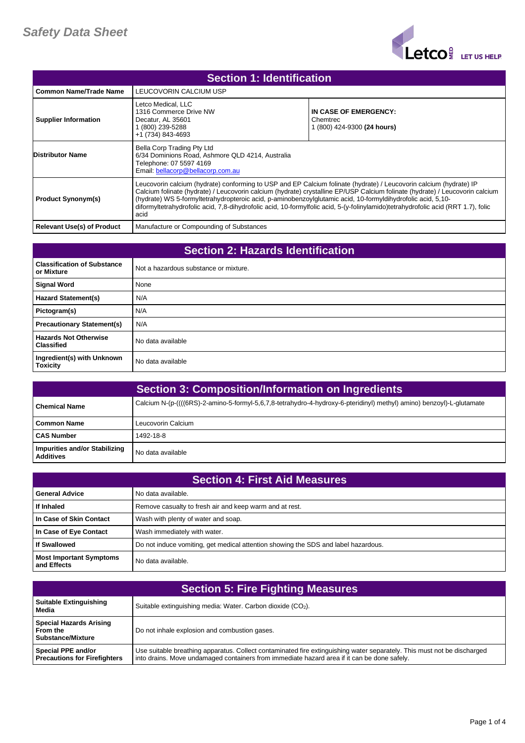

| <b>Section 1: Identification</b>  |                                                                                                                                                |                                                                                                                                                                                                                                                                                                                                                                                         |
|-----------------------------------|------------------------------------------------------------------------------------------------------------------------------------------------|-----------------------------------------------------------------------------------------------------------------------------------------------------------------------------------------------------------------------------------------------------------------------------------------------------------------------------------------------------------------------------------------|
| <b>Common Name/Trade Name</b>     | LEUCOVORIN CALCIUM USP                                                                                                                         |                                                                                                                                                                                                                                                                                                                                                                                         |
| <b>Supplier Information</b>       | Letco Medical, LLC<br>1316 Commerce Drive NW<br>Decatur, AL 35601<br>(800) 239-5288<br>+1 (734) 843-4693                                       | IN CASE OF EMERGENCY:<br>Chemtrec<br>1 (800) 424-9300 (24 hours)                                                                                                                                                                                                                                                                                                                        |
| <b>Distributor Name</b>           | Bella Corp Trading Pty Ltd<br>6/34 Dominions Road, Ashmore QLD 4214, Australia<br>Telephone: 07 5597 4169<br>Email: bellacorp@bellacorp.com.au |                                                                                                                                                                                                                                                                                                                                                                                         |
| <b>Product Synonym(s)</b>         | (hydrate) WS 5-formyltetrahydropteroic acid, p-aminobenzoylglutamic acid, 10-formyldihydrofolic acid, 5,10-<br>acid                            | Leucovorin calcium (hydrate) conforming to USP and EP Calcium folinate (hydrate) / Leucovorin calcium (hydrate) IP<br>Calcium folinate (hydrate) / Leucovorin calcium (hydrate) crystalline EP/USP Calcium folinate (hydrate) / Leucovorin calcium<br>diformyltetrahydrofolic acid, 7,8-dihydrofolic acid, 10-formylfolic acid, 5-(y-folinylamido)tetrahydrofolic acid (RRT 1.7), folic |
| <b>Relevant Use(s) of Product</b> | Manufacture or Compounding of Substances                                                                                                       |                                                                                                                                                                                                                                                                                                                                                                                         |

| <b>Section 2: Hazards Identification</b>          |                                       |
|---------------------------------------------------|---------------------------------------|
| <b>Classification of Substance</b><br>or Mixture  | Not a hazardous substance or mixture. |
| <b>Signal Word</b>                                | None                                  |
| <b>Hazard Statement(s)</b>                        | N/A                                   |
| Pictogram(s)                                      | N/A                                   |
| <b>Precautionary Statement(s)</b>                 | N/A                                   |
| <b>Hazards Not Otherwise</b><br><b>Classified</b> | No data available                     |
| Ingredient(s) with Unknown<br><b>Toxicity</b>     | No data available                     |

|                                                   | <b>Section 3: Composition/Information on Ingredients</b>                                                              |
|---------------------------------------------------|-----------------------------------------------------------------------------------------------------------------------|
| <b>Chemical Name</b>                              | Calcium N-(p-((((6RS)-2-amino-5-formyl-5,6,7,8-tetrahydro-4-hydroxy-6-pteridinyl) methyl) amino) benzoyl)-L-glutamate |
| Common Name                                       | Leucovorin Calcium                                                                                                    |
| <b>CAS Number</b>                                 | 1492-18-8                                                                                                             |
| Impurities and/or Stabilizing<br><b>Additives</b> | No data available                                                                                                     |

| <b>Section 4: First Aid Measures</b>          |                                                                                    |
|-----------------------------------------------|------------------------------------------------------------------------------------|
| <b>General Advice</b>                         | No data available.                                                                 |
| If Inhaled                                    | Remove casualty to fresh air and keep warm and at rest.                            |
| In Case of Skin Contact                       | Wash with plenty of water and soap.                                                |
| In Case of Eye Contact                        | Wash immediately with water.                                                       |
| <b>If Swallowed</b>                           | Do not induce vomiting, get medical attention showing the SDS and label hazardous. |
| <b>Most Important Symptoms</b><br>and Effects | No data available.                                                                 |

| <b>Section 5: Fire Fighting Measures</b>                               |                                                                                                                                                                                                                        |
|------------------------------------------------------------------------|------------------------------------------------------------------------------------------------------------------------------------------------------------------------------------------------------------------------|
| <b>Suitable Extinguishing</b><br>Media                                 | Suitable extinguishing media: Water. Carbon dioxide (CO2).                                                                                                                                                             |
| <b>Special Hazards Arising</b><br>From the<br><b>Substance/Mixture</b> | Do not inhale explosion and combustion gases.                                                                                                                                                                          |
| Special PPE and/or<br><b>Precautions for Firefighters</b>              | Use suitable breathing apparatus. Collect contaminated fire extinguishing water separately. This must not be discharged<br>into drains. Move undamaged containers from immediate hazard area if it can be done safely. |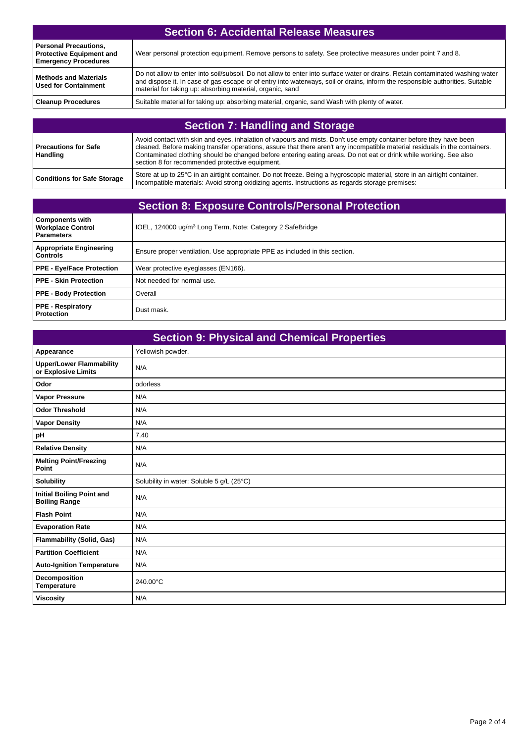| Section 6: Accidental Release Measures                                                         |                                                                                                                                                                                                                                                                                                                               |
|------------------------------------------------------------------------------------------------|-------------------------------------------------------------------------------------------------------------------------------------------------------------------------------------------------------------------------------------------------------------------------------------------------------------------------------|
| <b>Personal Precautions,</b><br><b>Protective Equipment and</b><br><b>Emergency Procedures</b> | Wear personal protection equipment. Remove persons to safety. See protective measures under point 7 and 8.                                                                                                                                                                                                                    |
| <b>Methods and Materials</b><br><b>Used for Containment</b>                                    | Do not allow to enter into soil/subsoil. Do not allow to enter into surface water or drains. Retain contaminated washing water<br>and dispose it. In case of gas escape or of entry into waterways, soil or drains, inform the responsible authorities. Suitable<br>material for taking up: absorbing material, organic, sand |
| <b>Cleanup Procedures</b>                                                                      | Suitable material for taking up: absorbing material, organic, sand Wash with plenty of water.                                                                                                                                                                                                                                 |

| <b>Section 7: Handling and Storage</b>  |                                                                                                                                                                                                                                                                                                                                                                                                                           |
|-----------------------------------------|---------------------------------------------------------------------------------------------------------------------------------------------------------------------------------------------------------------------------------------------------------------------------------------------------------------------------------------------------------------------------------------------------------------------------|
| Precautions for Safe<br><b>Handling</b> | Avoid contact with skin and eyes, inhalation of vapours and mists. Don't use empty container before they have been<br>cleaned. Before making transfer operations, assure that there aren't any incompatible material residuals in the containers.<br>Contaminated clothing should be changed before entering eating areas. Do not eat or drink while working. See also<br>section 8 for recommended protective equipment. |
| <b>Conditions for Safe Storage</b>      | Store at up to 25°C in an airtight container. Do not freeze. Being a hygroscopic material, store in an airtight container.<br>Incompatible materials: Avoid strong oxidizing agents. Instructions as regards storage premises:                                                                                                                                                                                            |

| <b>Section 8: Exposure Controls/Personal Protection</b>                 |                                                                             |
|-------------------------------------------------------------------------|-----------------------------------------------------------------------------|
| <b>Components with</b><br><b>Workplace Control</b><br><b>Parameters</b> | IOEL, 124000 ug/m <sup>3</sup> Long Term, Note: Category 2 SafeBridge       |
| <b>Appropriate Engineering</b><br><b>Controls</b>                       | Ensure proper ventilation. Use appropriate PPE as included in this section. |
| <b>PPE - Eye/Face Protection</b>                                        | Wear protective eyeglasses (EN166).                                         |
| <b>PPE - Skin Protection</b>                                            | Not needed for normal use.                                                  |
| <b>PPE - Body Protection</b>                                            | Overall                                                                     |
| <b>PPE - Respiratory</b><br><b>Protection</b>                           | Dust mask.                                                                  |

| <b>Section 9: Physical and Chemical Properties</b>       |                                           |
|----------------------------------------------------------|-------------------------------------------|
| Appearance                                               | Yellowish powder.                         |
| <b>Upper/Lower Flammability</b><br>or Explosive Limits   | N/A                                       |
| Odor                                                     | odorless                                  |
| <b>Vapor Pressure</b>                                    | N/A                                       |
| <b>Odor Threshold</b>                                    | N/A                                       |
| <b>Vapor Density</b>                                     | N/A                                       |
| pH                                                       | 7.40                                      |
| <b>Relative Density</b>                                  | N/A                                       |
| <b>Melting Point/Freezing</b><br>Point                   | N/A                                       |
| <b>Solubility</b>                                        | Solubility in water: Soluble 5 g/L (25°C) |
| <b>Initial Boiling Point and</b><br><b>Boiling Range</b> | N/A                                       |
| <b>Flash Point</b>                                       | N/A                                       |
| <b>Evaporation Rate</b>                                  | N/A                                       |
| <b>Flammability (Solid, Gas)</b>                         | N/A                                       |
| <b>Partition Coefficient</b>                             | N/A                                       |
| <b>Auto-Ignition Temperature</b>                         | N/A                                       |
| Decomposition<br>Temperature                             | 240.00°C                                  |
| <b>Viscosity</b>                                         | N/A                                       |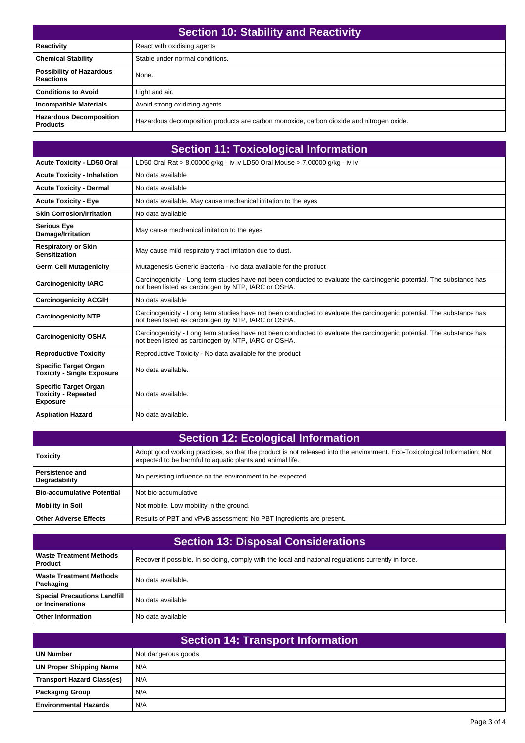| <b>Section 10: Stability and Reactivity</b>         |                                                                                          |
|-----------------------------------------------------|------------------------------------------------------------------------------------------|
| <b>Reactivity</b>                                   | React with oxidising agents                                                              |
| <b>Chemical Stability</b>                           | Stable under normal conditions.                                                          |
| <b>Possibility of Hazardous</b><br><b>Reactions</b> | None.                                                                                    |
| <b>Conditions to Avoid</b>                          | Light and air.                                                                           |
| <b>Incompatible Materials</b>                       | Avoid strong oxidizing agents                                                            |
| <b>Hazardous Decomposition</b><br><b>Products</b>   | Hazardous decomposition products are carbon monoxide, carbon dioxide and nitrogen oxide. |

| <b>Section 11: Toxicological Information</b>                                  |                                                                                                                                                                              |  |
|-------------------------------------------------------------------------------|------------------------------------------------------------------------------------------------------------------------------------------------------------------------------|--|
| <b>Acute Toxicity - LD50 Oral</b>                                             | LD50 Oral Rat > 8,00000 g/kg - iv iv LD50 Oral Mouse > 7,00000 g/kg - iv iv                                                                                                  |  |
| <b>Acute Toxicity - Inhalation</b>                                            | No data available                                                                                                                                                            |  |
| <b>Acute Toxicity - Dermal</b>                                                | No data available                                                                                                                                                            |  |
| <b>Acute Toxicity - Eye</b>                                                   | No data available. May cause mechanical irritation to the eyes                                                                                                               |  |
| <b>Skin Corrosion/Irritation</b>                                              | No data available                                                                                                                                                            |  |
| <b>Serious Eye</b><br>Damage/Irritation                                       | May cause mechanical irritation to the eyes                                                                                                                                  |  |
| <b>Respiratory or Skin</b><br><b>Sensitization</b>                            | May cause mild respiratory tract irritation due to dust.                                                                                                                     |  |
| <b>Germ Cell Mutagenicity</b>                                                 | Mutagenesis Generic Bacteria - No data available for the product                                                                                                             |  |
| <b>Carcinogenicity IARC</b>                                                   | Carcinogenicity - Long term studies have not been conducted to evaluate the carcinogenic potential. The substance has<br>not been listed as carcinogen by NTP, IARC or OSHA. |  |
| <b>Carcinogenicity ACGIH</b>                                                  | No data available                                                                                                                                                            |  |
| <b>Carcinogenicity NTP</b>                                                    | Carcinogenicity - Long term studies have not been conducted to evaluate the carcinogenic potential. The substance has<br>not been listed as carcinogen by NTP, IARC or OSHA. |  |
| <b>Carcinogenicity OSHA</b>                                                   | Carcinogenicity - Long term studies have not been conducted to evaluate the carcinogenic potential. The substance has<br>not been listed as carcinogen by NTP, IARC or OSHA. |  |
| <b>Reproductive Toxicity</b>                                                  | Reproductive Toxicity - No data available for the product                                                                                                                    |  |
| <b>Specific Target Organ</b><br><b>Toxicity - Single Exposure</b>             | No data available.                                                                                                                                                           |  |
| <b>Specific Target Organ</b><br><b>Toxicity - Repeated</b><br><b>Exposure</b> | No data available.                                                                                                                                                           |  |
| <b>Aspiration Hazard</b>                                                      | No data available.                                                                                                                                                           |  |

| <b>Section 12: Ecological Information</b> |                                                                                                                                                                                         |
|-------------------------------------------|-----------------------------------------------------------------------------------------------------------------------------------------------------------------------------------------|
| <b>Toxicity</b>                           | Adopt good working practices, so that the product is not released into the environment. Eco-Toxicological Information: Not<br>expected to be harmful to aquatic plants and animal life. |
| <b>Persistence and</b><br>Degradability   | No persisting influence on the environment to be expected.                                                                                                                              |
| <b>Bio-accumulative Potential</b>         | Not bio-accumulative                                                                                                                                                                    |
| <b>Mobility in Soil</b>                   | Not mobile. Low mobility in the ground.                                                                                                                                                 |
| <b>Other Adverse Effects</b>              | Results of PBT and vPvB assessment: No PBT Ingredients are present.                                                                                                                     |

| <b>Section 13: Disposal Considerations</b>              |                                                                                                      |  |
|---------------------------------------------------------|------------------------------------------------------------------------------------------------------|--|
| <b>Waste Treatment Methods</b><br>Product               | Recover if possible. In so doing, comply with the local and national regulations currently in force. |  |
| <b>Waste Treatment Methods</b><br>Packaging             | No data available.                                                                                   |  |
| <b>Special Precautions Landfill</b><br>or Incinerations | No data available                                                                                    |  |
| <b>Other Information</b>                                | No data available                                                                                    |  |

| Section 14: Transport Information |                     |
|-----------------------------------|---------------------|
| <b>UN Number</b>                  | Not dangerous goods |
| <b>UN Proper Shipping Name</b>    | N/A                 |
| <b>Transport Hazard Class(es)</b> | I N/A               |
| <b>Packaging Group</b>            | N/A                 |
| l Environmental Hazards           | N/A                 |